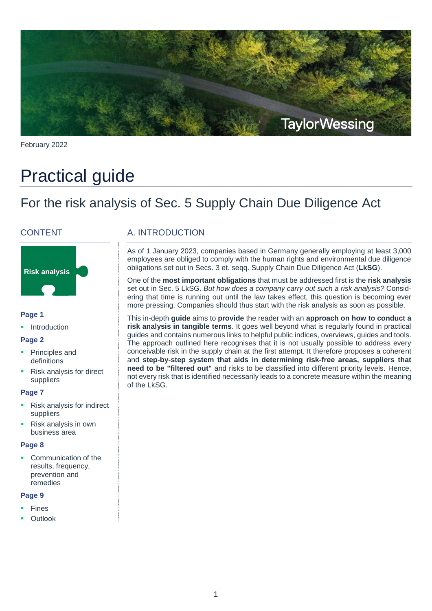

February 2022

# Practical guide

## For the risk analysis of Sec. 5 Supply Chain Due Diligence Act

#### **CONTENT**



#### **Page 1**

Introduction

#### **Page 2**

- Principles and definitions
- Risk analysis for direct suppliers

#### **Page 7**

- Risk analysis for indirect suppliers
- Risk analysis in own business area

#### **Page 8**

 Communication of the results, frequency, prevention and remedies

#### **Page 9**

- Fines
- Outlook

### A. INTRODUCTION

As of 1 January 2023, companies based in Germany generally employing at least 3,000 employees are obliged to comply with the human rights and environmental due diligence obligations set out in Secs. 3 et. seqq. Supply Chain Due Diligence Act (**LkSG**).

One of the **most important obligations** that must be addressed first is the **risk analysis**  set out in Sec. 5 LkSG. *But how does a company carry out such a risk analysis?* Considering that time is running out until the law takes effect, this question is becoming ever more pressing. Companies should thus start with the risk analysis as soon as possible.

This in-depth **guide** aims to **provide** the reader with an **approach on how to conduct a risk analysis in tangible terms**. It goes well beyond what is regularly found in practical guides and contains numerous links to helpful public indices, overviews, guides and tools. The approach outlined here recognises that it is not usually possible to address every conceivable risk in the supply chain at the first attempt. It therefore proposes a coherent and **step-by-step system that aids in determining risk-free areas, suppliers that need to be "filtered out"** and risks to be classified into different priority levels. Hence, not every risk that is identified necessarily leads to a concrete measure within the meaning of the LkSG.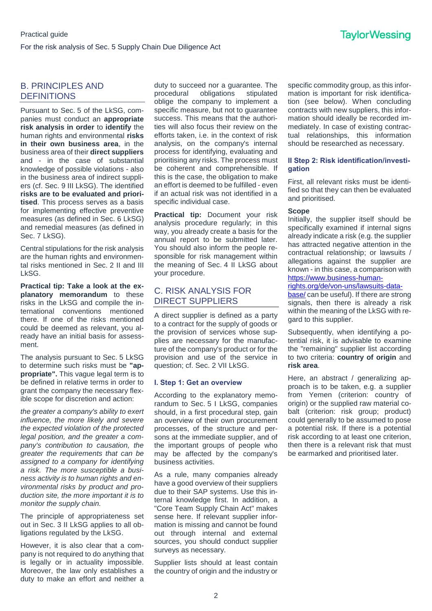#### B. PRINCIPLES AND **DEFINITIONS**

Pursuant to Sec. 5 of the LkSG, companies must conduct an **appropriate risk analysis in order** to **identify** the human rights and environmental **risks in their own business area**, in the business area of their **direct suppliers**  and - in the case of substantial knowledge of possible violations - also in the business area of indirect suppliers (cf. Sec. 9 III LkSG). The identified **risks are to be evaluated and prioritised**. This process serves as a basis for implementing effective preventive measures (as defined in Sec. 6 LkSG) and remedial measures (as defined in Sec. 7 LkSG).

Central stipulations for the risk analysis are the human rights and environmental risks mentioned in Sec. 2 II and III LkSG.

**Practical tip: Take a look at the explanatory memorandum** to these risks in the LkSG and compile the international conventions mentioned there. If one of the risks mentioned could be deemed as relevant, you already have an initial basis for assessment.

The analysis pursuant to Sec. 5 LkSG to determine such risks must be **"appropriate".** This vague legal term is to be defined in relative terms in order to grant the company the necessary flexible scope for discretion and action:

*the greater a company's ability to exert influence, the more likely and severe the expected violation of the protected legal position, and the greater a company's contribution to causation, the greater the requirements that can be assigned to a company for identifying a risk. The more susceptible a business activity is to human rights and environmental risks by product and production site, the more important it is to monitor the supply chain.*

The principle of appropriateness set out in Sec. 3 II LkSG applies to all obligations regulated by the LkSG.

However, it is also clear that a company is not required to do anything that is legally or in actuality impossible. Moreover, the law only establishes a duty to make an effort and neither a

duty to succeed nor a guarantee. The procedural obligations stipulated oblige the company to implement a specific measure, but not to quarantee success. This means that the authorities will also focus their review on the efforts taken, i.e. in the context of risk analysis, on the company's internal process for identifying, evaluating and prioritising any risks. The process must be coherent and comprehensible. If this is the case, the obligation to make an effort is deemed to be fulfilled - even if an actual risk was not identified in a specific individual case.

**Practical tip:** Document your risk analysis procedure regularly; in this way, you already create a basis for the annual report to be submitted later. You should also inform the people responsible for risk management within the meaning of Sec. 4 II LkSG about your procedure.

#### C. RISK ANALYSIS FOR DIRECT SUPPLIERS

A direct supplier is defined as a party to a contract for the supply of goods or the provision of services whose supplies are necessary for the manufacture of the company's product or for the provision and use of the service in question; cf. Sec. 2 VII LkSG.

#### **I. Step 1: Get an overview**

According to the explanatory memorandum to Sec. 5 I LkSG, companies should, in a first procedural step, gain an overview of their own procurement processes, of the structure and persons at the immediate supplier, and of the important groups of people who may be affected by the company's business activities.

As a rule, many companies already have a good overview of their suppliers due to their SAP systems. Use this internal knowledge first. In addition, a "Core Team Supply Chain Act" makes sense here. If relevant supplier information is missing and cannot be found out through internal and external sources, you should conduct supplier surveys as necessary.

Supplier lists should at least contain the country of origin and the industry or specific commodity group, as this information is important for risk identification (see below). When concluding contracts with new suppliers, this information should ideally be recorded immediately. In case of existing contractual relationships, this information should be researched as necessary.

#### **II Step 2: Risk identification/investigation**

First, all relevant risks must be identified so that they can then be evaluated and prioritised.

#### **Scope**

Initially, the supplier itself should be specifically examined if internal signs already indicate a risk (e.g. the supplier has attracted negative attention in the contractual relationship; or lawsuits / allegations against the supplier are known - in this case, a comparison with [https://www.business-human-](https://www.business-humanrights.org/de/von-uns/lawsuits-database/)

#### [rights.org/de/von-uns/lawsuits-data-](https://www.business-humanrights.org/de/von-uns/lawsuits-database/)

[base/](https://www.business-humanrights.org/de/von-uns/lawsuits-database/) can be useful). If there are strong signals, then there is already a risk within the meaning of the LkSG with regard to this supplier.

Subsequently, when identifying a potential risk, it is advisable to examine the "remaining" supplier list according to two criteria: **country of origin** and **risk area**.

Here, an abstract / generalizing approach is to be taken, e.g. a supplier from Yemen (criterion: country of origin) or the supplied raw material cobalt (criterion: risk group; product) could generally to be assumed to pose a potential risk. If there is a potential risk according to at least one criterion, then there is a relevant risk that must be earmarked and prioritised later.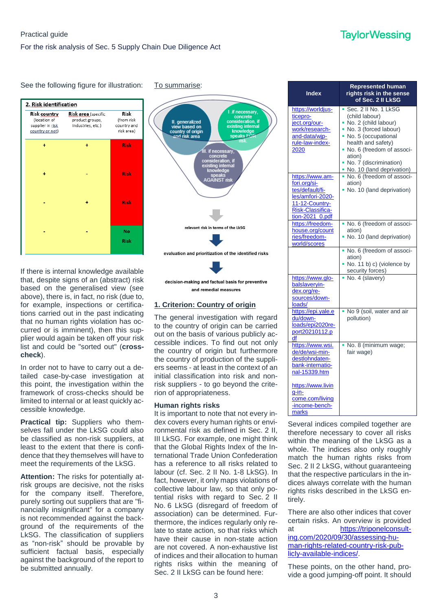



To summarise:



If there is internal knowledge available that, despite signs of an (abstract) risk based on the generalised view (see above), there is, in fact, no risk (due to, for example, inspections or certifications carried out in the past indicating that no human rights violation has occurred or is imminent), then this supplier would again be taken off your risk list and could be "sorted out" (**crosscheck**).

In order not to have to carry out a detailed case-by-case investigation at this point, the investigation within the framework of cross-checks should be limited to internal or at least quickly accessible knowledge.

**Practical tip:** Suppliers who themselves fall under the LkSG could also be classified as non-risk suppliers, at least to the extent that there is confidence that they themselves will have to meet the requirements of the LkSG.

**Attention:** The risks for potentially atrisk groups are decisive, not the risks for the company itself. Therefore, purely sorting out suppliers that are "financially insignificant" for a company is not recommended against the background of the requirements of the LkSG. The classification of suppliers as "non-risk" should be provable by sufficient factual basis, especially against the background of the report to be submitted annually.

decision-making and factual basis for preventive and remedial measures

#### **1. Criterion: Country of origin**

The general investigation with regard to the country of origin can be carried out on the basis of various publicly accessible indices. To find out not only the country of origin but furthermore the country of production of the suppliers seems - at least in the context of an initial classification into risk and nonrisk suppliers - to go beyond the criterion of appropriateness.

#### **Human rights risks**

It is important to note that not every index covers every human rights or environmental risk as defined in Sec. 2 II, III LkSG. For example, one might think that the Global Rights Index of the International Trade Union Confederation has a reference to all risks related to labour (cf. Sec. 2 II No. 1-8 LkSG). In fact, however, it only maps violations of collective labour law, so that only potential risks with regard to Sec. 2 II No. 6 LkSG (disregard of freedom of association) can be determined. Furthermore, the indices regularly only relate to state action, so that risks which have their cause in non-state action are not covered. A non-exhaustive list of indices and their allocation to human rights risks within the meaning of Sec. 2 II LkSG can be found here:

| <b>Index</b>                                                                                                                    | <b>Represented human</b><br>rights risk in the sense<br>of Sec. 2 II LkSG                                                                                                                                        |
|---------------------------------------------------------------------------------------------------------------------------------|------------------------------------------------------------------------------------------------------------------------------------------------------------------------------------------------------------------|
| https://worldjus-<br>ticepro-<br>ject.org/our-<br>work/research-<br>and-data/wip-<br>rule-law-index-<br>2020                    | Sec. 2 II No. 1 LkSG<br>٠.<br>(child labour)<br>No. 2 (child labour)<br>No. 3 (forced labour)<br>No. 5 (occupational<br>health and safety)<br>No. 6 (freedom of associ-<br>ation)<br>No. 7 (discrimination)<br>۰ |
| https://www.am-<br>fori.org/si-<br>tes/default/fi-<br>les/amfori-2020-<br>11-12-Country-<br>Risk-Classifica-<br>tion-2021_0.pdf | No. 10 (land deprivation)<br>No. 6 (freedom of associ-<br>ation)<br>No. 10 (land deprivation)                                                                                                                    |
| https://freedom-<br>house.org/count<br>ries/freedom-<br>world/scores                                                            | No. 6 (freedom of associ-<br>ation)<br>No. 10 (land deprivation)                                                                                                                                                 |
|                                                                                                                                 | No. 6 (freedom of associ-<br>٠<br>ation)<br>No. 11 b) c) (violence by<br>security forces)                                                                                                                        |
| https://www.glo-<br>balslaveryin-<br>dex.org/re-<br>sources/down-<br>loads/                                                     | • No. 4 (slavery)                                                                                                                                                                                                |
| https://epi.yale.e<br>du/down-<br>loads/epi2020re-<br>port20210112.p<br>df                                                      | No 9 (soil, water and air<br>pollution)                                                                                                                                                                          |
| https://www.wsi.<br>de/de/wsi-min-<br>destlohndaten-<br>bank-internatio-<br>nal-15339.htm<br>https://www.livin                  | No. 8 (minimum wage;<br>fair wage)                                                                                                                                                                               |
| g-in-<br>come.com/living<br>-income-bench-<br>marks                                                                             |                                                                                                                                                                                                                  |

Several indices compiled together are therefore necessary to cover all risks within the meaning of the LkSG as a whole. The indices also only roughly match the human rights risks from Sec. 2 II 2 LkSG, without guaranteeing that the respective particulars in the indices always correlate with the human rights risks described in the LkSG entirely.

There are also other indices that cover certain risks. An overview is provided at [https://triponelconsult](https://triponelconsulting.com/2020/09/30/assessing-human-rights-related-country-risk-publicly-available-indices/)[ing.com/2020/09/30/assessing-hu](https://triponelconsulting.com/2020/09/30/assessing-human-rights-related-country-risk-publicly-available-indices/)[man-rights-related-country-risk-pub](https://triponelconsulting.com/2020/09/30/assessing-human-rights-related-country-risk-publicly-available-indices/)[licly-available-indices/.](https://triponelconsulting.com/2020/09/30/assessing-human-rights-related-country-risk-publicly-available-indices/)

These points, on the other hand, provide a good jumping-off point. It should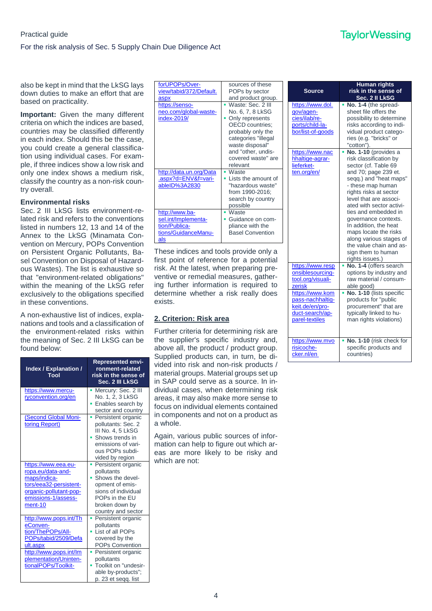also be kept in mind that the LkSG lays down duties to make an effort that are based on practicality.

**Important:** Given the many different criteria on which the indices are based, countries may be classified differently in each index. Should this be the case, you could create a general classification using individual cases. For example, if three indices show a low risk and only one index shows a medium risk, classify the country as a non-risk country overall.

#### **Environmental risks**

Sec. 2 III LkSG lists environment-related risk and refers to the conventions listed in numbers 12, 13 and 14 of the Annex to the LkSG (Minamata Convention on Mercury, POPs Convention on Persistent Organic Pollutants, Basel Convention on Disposal of Hazardous Wastes). The list is exhaustive so that "environment-related obligations" within the meaning of the LkSG refer exclusively to the obligations specified in these conventions.

A non-exhaustive list of indices, explanations and tools and a classification of the environment-related risks within the meaning of Sec. 2 III LkSG can be found below:

| Index / Explanation /<br>Tool                                                                                                                    | <b>Represented envi-</b><br>ronment-related<br>risk in the sense of<br>Sec. 2 III LkSG                                                                         |
|--------------------------------------------------------------------------------------------------------------------------------------------------|----------------------------------------------------------------------------------------------------------------------------------------------------------------|
| https://www.mercu-<br>ryconvention.org/en                                                                                                        | Mercury: Sec. 2 III<br>п<br>No. 1, 2, 3 LkSG<br>Enables search by<br>sector and country                                                                        |
| (Second Global Moni-<br>toring Report)                                                                                                           | Persistent organic<br>п<br>pollutants: Sec. 2<br>III No. 4. 5 LkSG<br>Shows trends in<br>emissions of vari-<br>ous POPs subdi-<br>vided by region              |
| https://www.eea.eu-<br>ropa.eu/data-and-<br>maps/indica-<br>tors/eea32-persistent-<br>organic-pollutant-pop-<br>emissions-1/assess-<br>$ment-10$ | Persistent organic<br>a,<br>pollutants<br>Shows the devel-<br>opment of emis-<br>sions of individual<br>POPs in the EU<br>broken down by<br>country and sector |
| http://www.pops.int/Th<br>eConven-<br>tion/ThePOPs/All-<br>POPs/tabid/2509/Defa<br>ult.aspx                                                      | Persistent organic<br>pollutants<br>List of all POPs<br>covered by the<br><b>POPs Convention</b>                                                               |
| http://www.pops.int/lm<br>plementation/Uninten-<br>tionalPOPs/Toolkit-                                                                           | Persistent organic<br>pollutants<br>Toolkit on "undesir-<br>able by-products";<br>p. 23 et segg. list                                                          |

| forUPOPs/Over-<br>view/tabid/372/Default.<br>aspx                                    | sources of these<br>POPs by sector<br>and product group.                                                                                                                                                  |
|--------------------------------------------------------------------------------------|-----------------------------------------------------------------------------------------------------------------------------------------------------------------------------------------------------------|
| https://senso-<br>neo.com/global-waste-<br>index-2019/                               | Waste: Sec. 2 III<br>No. 6, 7, 8 LkSG<br>Only represents<br><b>OECD</b> countries:<br>probably only the<br>categories "illegal<br>waste disposal"<br>and "other, undis-<br>covered waste" are<br>relevant |
| http://data.un.org/Data<br>.aspx?d=ENV&f=vari-<br>ableID%3A2830                      | Waste<br>Lists the amount of<br>"hazardous waste"<br>from 1990-2016;<br>search by country<br>possible                                                                                                     |
| http://www.ba-<br>sel.int/Implementa-<br>tion/Publica-<br>tions/GuidanceManu-<br>als | • Waste<br>Guidance on com-<br>pliance with the<br><b>Basel Convention</b>                                                                                                                                |

These indices and tools provide only a first point of reference for a potential risk. At the latest, when preparing preventive or remedial measures, gathering further information is required to determine whether a risk really does exists.

#### **2. Criterion: Risk area**

Further criteria for determining risk are the supplier's specific industry and, above all, the product / product group. Supplied products can, in turn, be divided into risk and non-risk products / material groups. Material groups set up in SAP could serve as a source. In individual cases, when determining risk areas, it may also make more sense to focus on individual elements contained in components and not on a product as a whole.

Again, various public sources of information can help to figure out which areas are more likely to be risky and which are not:

| <b>Source</b>                                                                               | Human rights<br>risk in the sense of<br>Sec. 2 II LkSG                                                                                                                                                                                                                                                                                                                                                                         |
|---------------------------------------------------------------------------------------------|--------------------------------------------------------------------------------------------------------------------------------------------------------------------------------------------------------------------------------------------------------------------------------------------------------------------------------------------------------------------------------------------------------------------------------|
| https://www.dol.<br>gov/agen-<br>cies/ilab/re-<br>ports/child-la-<br>bor/list-of-goods      | No. 1-4 (the spread-<br>sheet file offers the<br>possibility to determine<br>risks according to indi-<br>vidual product catego-<br>ries (e.g. "bricks" or<br>"cotton").                                                                                                                                                                                                                                                        |
| https://www.nac<br>hhaltige-agrar-<br>lieferket-<br>ten.org/en/                             | No. 1-10 (provides a<br>risk classification by<br>sector (cf. Table 69<br>and 70; page 239 et.<br>seqq.) and "heat maps"<br>- these map human<br>rights risks at sector<br>level that are associ-<br>ated with sector activi-<br>ties and embedded in<br>governance contexts.<br>In addition, the heat<br>maps locate the risks<br>along various stages of<br>the value chain and as-<br>sign them to human<br>rights issues.) |
| https://www.resp<br>onsiblesourcing-<br>tool.org/visuali-<br>zerisk                         | No. 1-4 (offers search<br>options by industry and<br>raw material / consum-<br>able good)                                                                                                                                                                                                                                                                                                                                      |
| https://www.kom<br>pass-nachhaltig-<br>keit.de/en/pro-<br>duct-search/ap-<br>parel-textiles | No. 1-10 (lists specific<br>٠<br>products for "public<br>procurement" that are<br>typically linked to hu-<br>man rights violations)                                                                                                                                                                                                                                                                                            |
| https://www.mvo<br>risicoche-<br>cker.nl/en                                                 | No. 1-10 (risk check for<br>specific products and<br>countries)                                                                                                                                                                                                                                                                                                                                                                |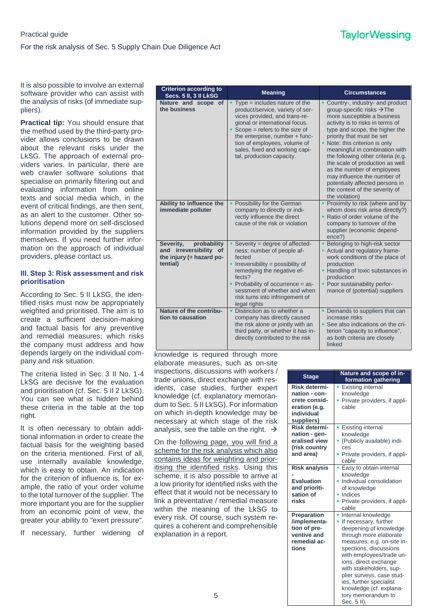It is also possible to involve an external software provider who can assist with the analysis of risks (of immediate suppliers).

**Practical tip:** You should ensure that the method used by the third-party provider allows conclusions to be drawn about the relevant risks under the LkSG. The approach of external providers varies. In particular, there are web crawler software solutions that specialise on primarily filtering out and evaluating information from online texts and social media which, in the event of critical findings, are then sent, as an alert to the customer. Other solutions depend more on self-disclosed information provided by the suppliers themselves. If you need further information on the approach of individual providers, please contact us.

#### **III. Step 3: Risk assessment and risk prioritisation**

According to Sec. 5 II LkSG, the identified risks must now be appropriately weighted and prioritised. The aim is to create a sufficient decision-making and factual basis for any preventive and remedial measures; which risks the company must address and how depends largely on the individual company and risk situation.

The criteria listed in Sec. 3 II No. 1-4 LkSG are decisive for the evaluation and prioritisation (cf. Sec. 5 II 2 LkSG). You can see what is hidden behind these criteria in the table at the top right.

It is often necessary to obtain additional information in order to create the factual basis for the weighting based on the criteria mentioned. First of all, use internally available knowledge, which is easy to obtain. An indication for the criterion of influence is, for example, the ratio of your order volume to the total turnover of the supplier. The more important you are for the supplier from an economic point of view, the greater your ability to "exert pressure".

If necessary, further widening of

| <b>Criterion according to</b><br>Secs. 5 II, 3 II LkSG                                       | <b>Meaning</b>                                                                                                                                                                                                                                                                                             | <b>Circumstances</b>                                                                                                                                                                                                                                                                                                                                                                                                                                                                                         |
|----------------------------------------------------------------------------------------------|------------------------------------------------------------------------------------------------------------------------------------------------------------------------------------------------------------------------------------------------------------------------------------------------------------|--------------------------------------------------------------------------------------------------------------------------------------------------------------------------------------------------------------------------------------------------------------------------------------------------------------------------------------------------------------------------------------------------------------------------------------------------------------------------------------------------------------|
| Nature and scope of<br>the business                                                          | $Type = includes nature of the$<br>product/service, variety of ser-<br>vices provided, and trans-re-<br>gional or international focus.<br>$Scope = refers to the size of$<br>the enterprise, number + func-<br>tion of employees, volume of<br>sales, fixed and working capi-<br>tal, production capacity. | Country-, industry- and product<br>group-specific risks $\rightarrow$ The<br>more susceptible a business<br>activity is to risks in terms of<br>type and scope, the higher the<br>priority that must be set<br>• Note: this criterion is only<br>meaningful in combination with<br>the following other criteria (e.g.<br>the scale of production as well<br>as the number of employees<br>may influence the number of<br>potentially affected persons in<br>the context of the severity of<br>the violation) |
| Ability to influence the<br>immediate polluter                                               | Possibility for the German<br>company to directly or indi-<br>rectly influence the direct<br>cause of the risk or violation                                                                                                                                                                                | Proximity to risk (where and by<br>whom does risk arise directly?)<br>• Ratio of order volume of the<br>company to turnover of the<br>supplier (economic depend-<br>ence?)                                                                                                                                                                                                                                                                                                                                   |
| probability<br>Severity,<br>and irreversibility of<br>the injury $(=$ hazard po-<br>tential) | Severity = degree of affected-<br>ness; number of people af-<br>fected<br>• Irreversibility = possibility of<br>remedying the negative ef-<br>fects?<br>• Probability of occurrence $=$ as-<br>sessment of whether and when<br>risk turns into infringement of<br>legal rights                             | Belonging to high-risk sector<br>- Actual and regulatory frame-<br>work conditions of the place of<br>production<br>• Handling of toxic substances in<br>production<br>• Poor sustainability perfor-<br>mance of (potential) suppliers                                                                                                                                                                                                                                                                       |
| Nature of the contribu-<br>tion to causation                                                 | Distinction as to whether a<br>company has directly caused<br>the risk alone or jointly with an<br>third party, or whether it has in-<br>directly contributed to the risk                                                                                                                                  | • Demands to suppliers that can<br>increase risks<br>• See also indications on the cri-<br>terion "capacity to influence",<br>as both criteria are closely<br>linked                                                                                                                                                                                                                                                                                                                                         |

knowledge is required through more elaborate measures, such as on-site inspections, discussions with workers / trade unions, direct exchange with residents, case studies, further expert knowledge (cf. explanatory memorandum to Sec. 5 II LkSG). For information on which in-depth knowledge may be necessary at which stage of the risk analysis, see the table on the right.  $\rightarrow$ 

On the following page, you will find a scheme for the risk analysis which also contains ideas for weighting and prioritising the identified risks. Using this scheme, it is also possible to arrive at a low priority for identified risks with the effect that it would not be necessary to link a preventative / remedial measure within the meaning of the LkSG to every risk. Of course, such system requires a coherent and comprehensible explanation in a report.

| <b>Stage</b>                                                                                 | Nature and scope of in-<br>formation gathering                                                                                                                                                                                                                                                                                                                            |
|----------------------------------------------------------------------------------------------|---------------------------------------------------------------------------------------------------------------------------------------------------------------------------------------------------------------------------------------------------------------------------------------------------------------------------------------------------------------------------|
| Risk determi-<br>nation - con-<br>crete consid-<br>eration (e.g.<br>individual<br>suppliers) | Existing internal<br>knowledge<br>Private providers, if appli-<br>٠<br>cable                                                                                                                                                                                                                                                                                              |
| Risk determi-<br>nation - gen-<br>eralised view<br>(risk country<br>and area)                | • Existing internal<br>knowledge<br>• (Publicly available) indi-<br>ces<br>• Private providers, if appli-<br>cable                                                                                                                                                                                                                                                        |
| <b>Risk analysis</b><br><b>Evaluation</b><br>and prioriti-<br>sation of<br>risks             | • Easy to obtain internal<br>knowledge<br>· Individual consolidation<br>of knowledge<br>• Indices<br>• Private providers, if appli-<br>cable                                                                                                                                                                                                                              |
| Preparation<br>/implementa-<br>tion of pre-<br>ventive and<br>remedial ac-<br>tions          | Internal knowledge<br>٠<br>If necessary, further<br>٠<br>deepening of knowledge<br>through more elaborate<br>measures, e.g. on-site in-<br>spections, discussions<br>with employees/trade un-<br>ions, direct exchange<br>with stakeholders, sup-<br>plier surveys, case stud-<br>ies, further specialist<br>knowledge (cf. explana-<br>tory memorandum to<br>Sec. 5 II). |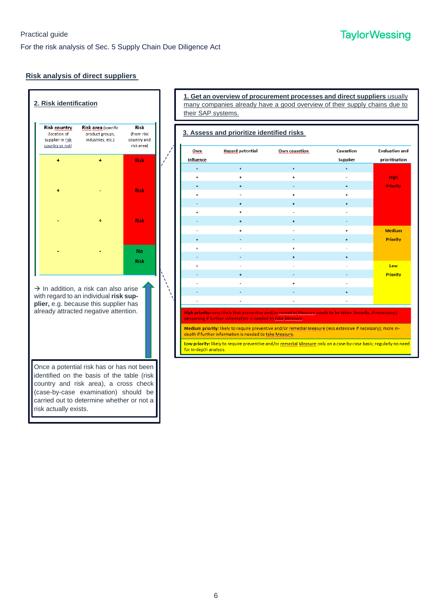#### **Risk analysis of direct suppliers**



**1. Get an overview of procurement processes and direct suppliers** usually many companies already have a good overview of their supply chains due to their SAP systems.

| Own.      | <b>Hazard potential</b>                                                                                                | Own causation                                                                                                                                                                                                                  | Causation | <b>Evaluation and</b> |
|-----------|------------------------------------------------------------------------------------------------------------------------|--------------------------------------------------------------------------------------------------------------------------------------------------------------------------------------------------------------------------------|-----------|-----------------------|
| influence |                                                                                                                        |                                                                                                                                                                                                                                | Supplier  | prioritisation        |
| $\ddot{}$ | $\ddot{}$                                                                                                              | $\ddot{}$                                                                                                                                                                                                                      | $\ddot{}$ |                       |
| ÷         | $\ddot{}$                                                                                                              | ÷                                                                                                                                                                                                                              |           | High                  |
| $\ddot{}$ | $\ddot{}$                                                                                                              |                                                                                                                                                                                                                                | $\ddot{}$ | <b>Priority</b>       |
| ÷         |                                                                                                                        | ÷                                                                                                                                                                                                                              | ÷         |                       |
|           | $\ddot{}$                                                                                                              | $\ddot{}$                                                                                                                                                                                                                      | $\ddot{}$ |                       |
| $\ddot{}$ | ÷                                                                                                                      |                                                                                                                                                                                                                                |           |                       |
|           | $\ddot{}$                                                                                                              | ÷                                                                                                                                                                                                                              |           |                       |
|           |                                                                                                                        |                                                                                                                                                                                                                                | ÷         | <b>Medium</b>         |
| ÷         |                                                                                                                        |                                                                                                                                                                                                                                | ÷         | <b>Priority</b>       |
| ÷         |                                                                                                                        | $\ddot{}$                                                                                                                                                                                                                      |           |                       |
|           |                                                                                                                        | $\ddot{}$                                                                                                                                                                                                                      | $\ddot{}$ |                       |
| ÷         | $\overline{a}$                                                                                                         |                                                                                                                                                                                                                                |           | Low                   |
|           | $\ddot{}$                                                                                                              |                                                                                                                                                                                                                                |           | <b>Priority</b>       |
|           |                                                                                                                        | ÷                                                                                                                                                                                                                              |           |                       |
|           |                                                                                                                        |                                                                                                                                                                                                                                | ÷         |                       |
|           |                                                                                                                        |                                                                                                                                                                                                                                |           |                       |
|           | deepening if further information is needed to take Measure.<br>depth if further information is needed to take Measure. | High priority: very likely that preventive and/or remedial Measure needs to be taken (broadly, if necessary);<br>Medium priority: likely to require preventive and/or remedial Measure (less extensive if necessary); more in- |           |                       |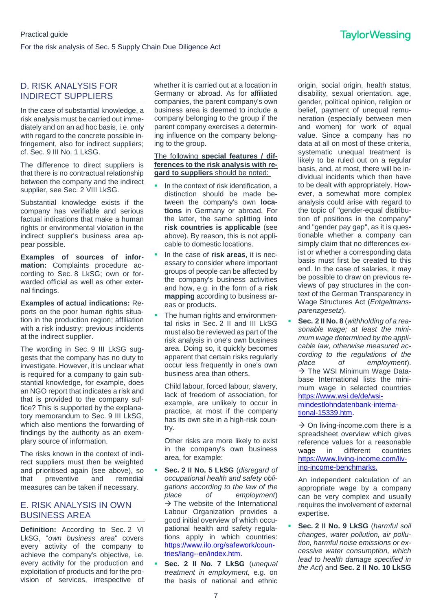#### D. RISK ANALYSIS FOR INDIRECT SUPPLIERS

In the case of substantial knowledge, a risk analysis must be carried out immediately and on an ad hoc basis, i.e. only with regard to the concrete possible infringement, also for indirect suppliers; cf. Sec. 9 III No. 1 LkSG.

The difference to direct suppliers is that there is no contractual relationship between the company and the indirect supplier, see Sec. 2 VIII LkSG.

Substantial knowledge exists if the company has verifiable and serious factual indications that make a human rights or environmental violation in the indirect supplier's business area appear possible.

**Examples of sources of information:** Complaints procedure according to Sec. 8 LkSG; own or forwarded official as well as other external findings.

**Examples of actual indications:** Reports on the poor human rights situation in the production region; affiliation with a risk industry; previous incidents at the indirect supplier.

The wording in Sec. 9 III LkSG suggests that the company has no duty to investigate. However, it is unclear what is required for a company to gain substantial knowledge, for example, does an NGO report that indicates a risk and that is provided to the company suffice? This is supported by the explanatory memorandum to Sec. 9 III LkSG, which also mentions the forwarding of findings by the authority as an exemplary source of information.

The risks known in the context of indirect suppliers must then be weighted and prioritised again (see above), so that preventive and remedial measures can be taken if necessary.

#### E. RISK ANALYSIS IN OWN BUSINESS AREA

**Definition:** According to Sec. 2 VI LkSG, "*own business area*" covers every activity of the company to achieve the company's objective, i.e. every activity for the production and exploitation of products and for the provision of services, irrespective of

whether it is carried out at a location in Germany or abroad. As for affiliated companies, the parent company's own business area is deemed to include a company belonging to the group if the parent company exercises a determining influence on the company belonging to the group.

#### The following **special features / differences to the risk analysis with regard to suppliers** should be noted:

- In the context of risk identification, a distinction should be made between the company's own **locations** in Germany or abroad. For the latter, the same splitting **into risk countries is applicable** (see above). By reason, this is not applicable to domestic locations.
- In the case of **risk areas**, it is necessary to consider where important groups of people can be affected by the company's business activities and how, e.g. in the form of a **risk mapping** according to business areas or products.
- The human rights and environmental risks in Sec. 2 II and III LkSG must also be reviewed as part of the risk analysis in one's own business area. Doing so, it quickly becomes apparent that certain risks regularly occur less frequently in one's own business area than others.

Child labour, forced labour, slavery, lack of freedom of association, for example, are unlikely to occur in practice, at most if the company has its own site in a high-risk country.

Other risks are more likely to exist in the company's own business area, for example:

- **Sec. 2 II No. 5 LkSG** (*disregard of occupational health and safety obligations according to the law of the place of employment*)  $\rightarrow$  The website of the International Labour Organization provides a good initial overview of which occupational health and safety regulations apply in which countries: [https://www.ilo.org/safework/coun](https://www.ilo.org/safework/countries/lang--en/index.htm)[tries/lang--en/index.htm.](https://www.ilo.org/safework/countries/lang--en/index.htm)
- **Sec. 2 II No. 7 LkSG** (*unequal treatment in employment,* e.g. on the basis of national and ethnic

origin, social origin, health status, disability, sexual orientation, age, gender, political opinion, religion or belief, payment of unequal remuneration (especially between men and women) for work of equal value. Since a company has no data at all on most of these criteria, systematic unequal treatment is likely to be ruled out on a regular basis, and, at most, there will be individual incidents which then have to be dealt with appropriately. However, a somewhat more complex analysis could arise with regard to the topic of "gender-equal distribution of positions in the company" and "gender pay gap", as it is questionable whether a company can simply claim that no differences exist or whether a corresponding data basis must first be created to this end. In the case of salaries, it may be possible to draw on previous reviews of pay structures in the context of the German Transparency in Wage Structures Act (*Entgelttransparenzgesetz*).

 **Sec. 2 II No. 8** (*withholding of a reasonable wage; at least the minimum wage determined by the applicable law, otherwise measured according to the regulations of the place of employment*).  $\rightarrow$  The WSI Minimum Wage Database International lists the minimum wage in selected countries [https://www.wsi.de/de/wsi](https://www.wsi.de/de/wsi-mindestlohndatenbank-international-15339.htm)[mindestlohndatenbank-interna](https://www.wsi.de/de/wsi-mindestlohndatenbank-international-15339.htm)[tional-15339.htm.](https://www.wsi.de/de/wsi-mindestlohndatenbank-international-15339.htm)

 $\rightarrow$  On living-income.com there is a spreadsheet overview which gives reference values for a reasonable wage in different countries [https://www.living-income.com/liv](https://www.living-income.com/living-income-benchmarks)[ing-income-benchmarks.](https://www.living-income.com/living-income-benchmarks)

An independent calculation of an appropriate wage by a company can be very complex and usually requires the involvement of external expertise.

 **Sec. 2 II No. 9 LkSG** (*harmful soil changes, water pollution, air pollution, harmful noise emissions or excessive water consumption, which lead to health damage specified in the Act*) and **Sec. 2 II No. 10 LkSG**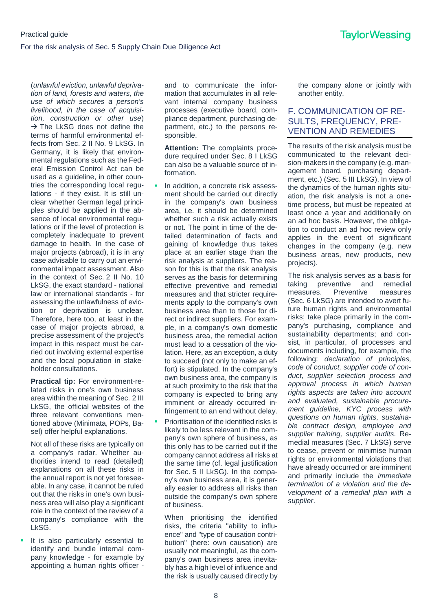(*unlawful eviction, unlawful deprivation of land, forests and waters, the use of which secures a person's livelihood, in the case of acquisition, construction or other use*)  $\rightarrow$  The LkSG does not define the terms of harmful environmental effects from Sec. 2 II No. 9 LkSG. In Germany, it is likely that environmental regulations such as the Federal Emission Control Act can be used as a guideline, in other countries the corresponding local regulations - if they exist. It is still unclear whether German legal principles should be applied in the absence of local environmental regulations or if the level of protection is completely inadequate to prevent damage to health. In the case of major projects (abroad), it is in any case advisable to carry out an environmental impact assessment. Also in the context of Sec. 2 II No. 10 LkSG, the exact standard - national law or international standards - for assessing the unlawfulness of eviction or deprivation is unclear. Therefore, here too, at least in the case of major projects abroad, a precise assessment of the project's impact in this respect must be carried out involving external expertise and the local population in stakeholder consultations.

**Practical tip:** For environment-related risks in one's own business area within the meaning of Sec. 2 III LkSG, the official websites of the three relevant conventions mentioned above (Minimata, POPs, Basel) offer helpful explanations.

Not all of these risks are typically on a company's radar. Whether authorities intend to read (detailed) explanations on all these risks in the annual report is not yet foreseeable. In any case, it cannot be ruled out that the risks in one's own business area will also play a significant role in the context of the review of a company's compliance with the LkSG.

It is also particularly essential to identify and bundle internal company knowledge - for example by appointing a human rights officer -

and to communicate the information that accumulates in all relevant internal company business processes (executive board, compliance department, purchasing department, etc.) to the persons responsible.

**Attention:** The complaints procedure required under Sec. 8 I LkSG can also be a valuable source of information.

- In addition, a concrete risk assessment should be carried out directly in the company's own business area, i.e. it should be determined whether such a risk actually exists or not. The point in time of the detailed determination of facts and gaining of knowledge thus takes place at an earlier stage than the risk analysis at suppliers. The reason for this is that the risk analysis serves as the basis for determining effective preventive and remedial measures and that stricter requirements apply to the company's own business area than to those for direct or indirect suppliers. For example, in a company's own domestic business area, the remedial action must lead to a cessation of the violation. Here, as an exception, a duty to succeed (not only to make an effort) is stipulated. In the company's own business area, the company is at such proximity to the risk that the company is expected to bring any imminent or already occurred infringement to an end without delay.
- Prioritisation of the identified risks is likely to be less relevant in the company's own sphere of business, as this only has to be carried out if the company cannot address all risks at the same time (cf. legal justification for Sec. 5 II LkSG). In the company's own business area, it is generally easier to address all risks than outside the company's own sphere of business.

When prioritising the identified risks, the criteria "ability to influence" and "type of causation contribution" (here: own causation) are usually not meaningful, as the company's own business area inevitably has a high level of influence and the risk is usually caused directly by the company alone or jointly with another entity.

#### F. COMMUNICATION OF RE-SULTS, FREQUENCY, PRE-VENTION AND REMEDIES

The results of the risk analysis must be communicated to the relevant decision-makers in the company (e.g. management board, purchasing department, etc.) (Sec. 5 III LkSG). In view of the dynamics of the human rights situation, the risk analysis is not a onetime process, but must be repeated at least once a year and additionally on an ad hoc basis. However, the obligation to conduct an ad hoc review only applies in the event of significant changes in the company (e.g. new business areas, new products, new projects).

The risk analysis serves as a basis for taking preventive and remedial measures. Preventive measures (Sec. 6 LkSG) are intended to avert future human rights and environmental risks; take place primarily in the company's purchasing, compliance and sustainability departments; and consist, in particular, of processes and documents including, for example, the following: *declaration of principles, code of conduct, supplier code of conduct, supplier selection process and approval process in which human rights aspects are taken into account and evaluated, sustainable procurement guideline, KYC process with questions on human rights, sustainable contract design, employee and supplier training, supplier audits.* Remedial measures (Sec. 7 LkSG) serve to cease, prevent or minimise human rights or environmental violations that have already occurred or are imminent and primarily include the *immediate termination of a violation and the development of a remedial plan with a supplier*.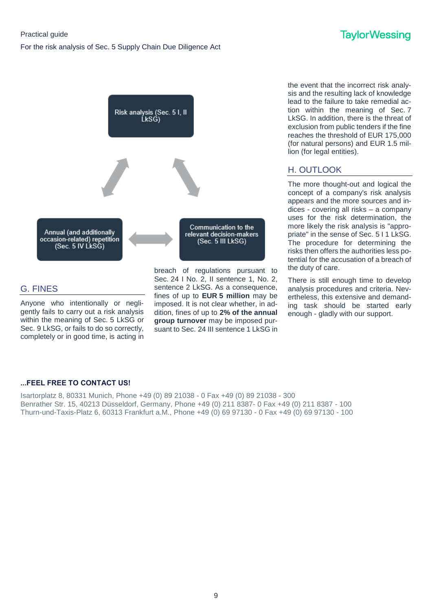

#### G. FINES

Anyone who intentionally or negligently fails to carry out a risk analysis within the meaning of Sec. 5 LkSG or Sec. 9 LkSG, or fails to do so correctly, completely or in good time, is acting in breach of regulations pursuant to Sec. 24 I No. 2, II sentence 1, No. 2, sentence 2 LkSG. As a consequence, fines of up to **EUR 5 million** may be imposed. It is not clear whether, in addition, fines of up to **2% of the annual group turnover** may be imposed pursuant to Sec. 24 III sentence 1 LkSG in

the event that the incorrect risk analysis and the resulting lack of knowledge lead to the failure to take remedial action within the meaning of Sec. 7 LkSG. In addition, there is the threat of exclusion from public tenders if the fine reaches the threshold of EUR 175,000 (for natural persons) and EUR 1.5 million (for legal entities).

### H. OUTLOOK

The more thought-out and logical the concept of a company's risk analysis appears and the more sources and indices - covering all risks – a company uses for the risk determination, the more likely the risk analysis is "appropriate" in the sense of Sec. 5 I 1 LkSG. The procedure for determining the risks then offers the authorities less potential for the accusation of a breach of the duty of care.

There is still enough time to develop analysis procedures and criteria. Nevertheless, this extensive and demanding task should be started early enough - gladly with our support.

#### **...FEEL FREE TO CONTACT US!**

Isartorplatz 8, 80331 Munich, Phone +49 (0) 89 21038 - 0 Fax +49 (0) 89 21038 - 300 Benrather Str. 15, 40213 Düsseldorf, Germany, Phone +49 (0) 211 8387- 0 Fax +49 (0) 211 8387 - 100 Thurn-und-Taxis-Platz 6, 60313 Frankfurt a.M., Phone +49 (0) 69 97130 - 0 Fax +49 (0) 69 97130 - 100